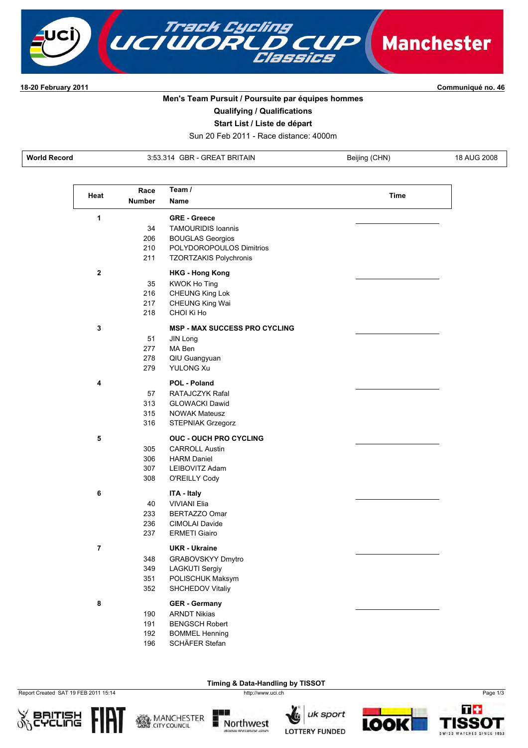

**1820 February 2011 Communiqué no. 46**

## **Men's Team Pursuit / Poursuite par équipes hommes**

**Qualifying / Qualifications**

**Start List / Liste de départ**

Sun 20 Feb 2011 Race distance: 4000m

**World Record 3:53.314 GBR - GREAT BRITAIN** Beijing (CHN) 18 AUG 2008

| Heat           | Race          | Team /                               | Time |
|----------------|---------------|--------------------------------------|------|
|                | <b>Number</b> | Name                                 |      |
| 1              |               | <b>GRE - Greece</b>                  |      |
|                | 34            | <b>TAMOURIDIS Ioannis</b>            |      |
|                | 206           | <b>BOUGLAS Georgios</b>              |      |
|                | 210<br>211    | POLYDOROPOULOS Dimitrios             |      |
|                |               | <b>TZORTZAKIS Polychronis</b>        |      |
| $\mathbf 2$    |               | <b>HKG - Hong Kong</b>               |      |
|                | 35            | KWOK Ho Ting                         |      |
|                | 216           | <b>CHEUNG King Lok</b>               |      |
|                | 217           | <b>CHEUNG King Wai</b>               |      |
|                | 218           | CHOI Ki Ho                           |      |
| 3              |               | <b>MSP - MAX SUCCESS PRO CYCLING</b> |      |
|                | 51            | JIN Long                             |      |
|                | 277           | MA Ben                               |      |
|                | 278           | QIU Guangyuan                        |      |
|                | 279           | <b>YULONG Xu</b>                     |      |
| 4              |               | POL - Poland                         |      |
|                | 57            | RATAJCZYK Rafal                      |      |
|                | 313           | <b>GLOWACKI Dawid</b>                |      |
|                | 315           | <b>NOWAK Mateusz</b>                 |      |
|                | 316           | <b>STEPNIAK Grzegorz</b>             |      |
| 5              |               | <b>OUC - OUCH PRO CYCLING</b>        |      |
|                | 305           | <b>CARROLL Austin</b>                |      |
|                | 306           | <b>HARM Daniel</b>                   |      |
|                | 307           | LEIBOVITZ Adam                       |      |
|                | 308           | O'REILLY Cody                        |      |
| 6              |               | ITA - Italy                          |      |
|                | 40            | <b>VIVIANI Elia</b>                  |      |
|                | 233           | BERTAZZO Omar                        |      |
|                | 236           | <b>CIMOLAI Davide</b>                |      |
|                | 237           | <b>ERMETI Giairo</b>                 |      |
| $\overline{7}$ |               | UKR - Ukraine                        |      |
|                | 348           | GRABOVSKYY Dmytro                    |      |
|                | 349           | <b>LAGKUTI Sergiy</b>                |      |
|                | 351           | POLISCHUK Maksym                     |      |
|                | 352           | SHCHEDOV Vitaliy                     |      |
| 8              |               | <b>GER - Germany</b>                 |      |
|                | 190           | <b>ARNDT Nikias</b>                  |      |
|                | 191           | <b>BENGSCH Robert</b>                |      |
|                | 192           | <b>BOMMEL Henning</b>                |      |
|                | 196           | SCHÄFER Stefan                       |      |

Report Created SAT 19 FEB 2011 15:14 http://www.uci.ch Page 1/3







**Timing & Data-Handling by TISSOT** 

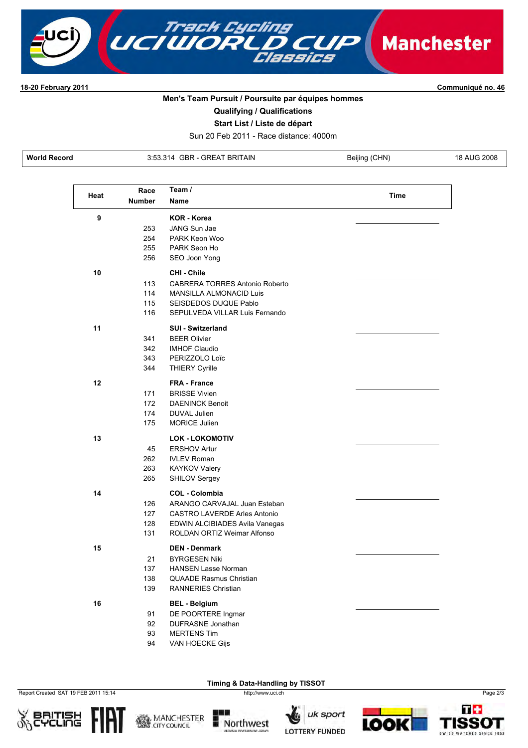

**1820 February 2011 Communiqué no. 46**

## **Men's Team Pursuit / Poursuite par équipes hommes**

**Qualifying / Qualifications**

**Start List / Liste de départ**

Sun 20 Feb 2011 Race distance: 4000m

**World Record 3:53.314 GBR - GREAT BRITAIN** Beijing (CHN) 18 AUG 2008

|      | Race          | Team /                                |             |
|------|---------------|---------------------------------------|-------------|
| Heat | <b>Number</b> | <b>Name</b>                           | <b>Time</b> |
| 9    |               | KOR - Korea                           |             |
|      | 253           | JANG Sun Jae                          |             |
|      | 254           | PARK Keon Woo                         |             |
|      | 255           | PARK Seon Ho                          |             |
|      | 256           | SEO Joon Yong                         |             |
| 10   |               | CHI - Chile                           |             |
|      | 113           | <b>CABRERA TORRES Antonio Roberto</b> |             |
|      | 114           | <b>MANSILLA ALMONACID Luis</b>        |             |
|      | 115           | SEISDEDOS DUQUE Pablo                 |             |
|      | 116           | SEPULVEDA VILLAR Luis Fernando        |             |
| 11   |               | <b>SUI - Switzerland</b>              |             |
|      | 341           | <b>BEER Olivier</b>                   |             |
|      | 342           | <b>IMHOF Claudio</b>                  |             |
|      | 343           | PERIZZOLO Loïc                        |             |
|      | 344           | <b>THIERY Cyrille</b>                 |             |
| 12   |               | <b>FRA</b> - France                   |             |
|      | 171           | <b>BRISSE Vivien</b>                  |             |
|      | 172           | <b>DAENINCK Benoit</b>                |             |
|      | 174           | <b>DUVAL Julien</b>                   |             |
|      | 175           | <b>MORICE Julien</b>                  |             |
| 13   |               | <b>LOK - LOKOMOTIV</b>                |             |
|      | 45            | <b>ERSHOV Artur</b>                   |             |
|      | 262           | <b>IVLEV Roman</b>                    |             |
|      | 263           | <b>KAYKOV Valery</b>                  |             |
|      | 265           | <b>SHILOV Sergey</b>                  |             |
| 14   |               | <b>COL - Colombia</b>                 |             |
|      | 126           | ARANGO CARVAJAL Juan Esteban          |             |
|      | 127           | <b>CASTRO LAVERDE Arles Antonio</b>   |             |
|      | 128           | EDWIN ALCIBIADES Avila Vanegas        |             |
|      | 131           | ROLDAN ORTIZ Weimar Alfonso           |             |
| 15   |               | <b>DEN - Denmark</b>                  |             |
|      | 21            | <b>BYRGESEN Niki</b>                  |             |
|      | 137           | <b>HANSEN Lasse Norman</b>            |             |
|      | 138           | <b>QUAADE Rasmus Christian</b>        |             |
|      | 139           | RANNERIES Christian                   |             |
| 16   |               | <b>BEL - Belgium</b>                  |             |
|      | 91            | DE POORTERE Ingmar                    |             |
|      | 92            | DUFRASNE Jonathan                     |             |
|      | 93            | <b>MERTENS Tim</b>                    |             |
|      | 94            | VAN HOECKE Gijs                       |             |

Report Created SAT 19 FEB 2011 15:14 http://www.uci.ch http://www.uci.ch Page 2/3

**SOBETIFIE** 



**MANCHESTER**